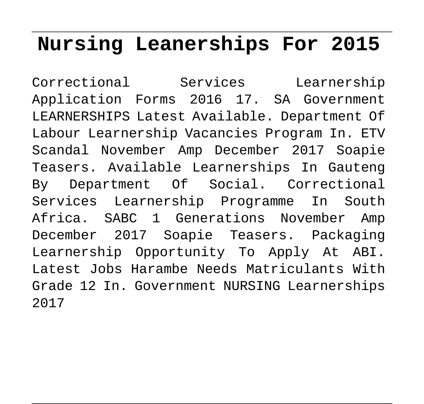## **Nursing Leanerships For 2015**

Correctional Services Learnership Application Forms 2016 17. SA Government LEARNERSHIPS Latest Available. Department Of Labour Learnership Vacancies Program In. ETV Scandal November Amp December 2017 Soapie Teasers. Available Learnerships In Gauteng By Department Of Social. Correctional Services Learnership Programme In South Africa. SABC 1 Generations November Amp December 2017 Soapie Teasers. Packaging Learnership Opportunity To Apply At ABI. Latest Jobs Harambe Needs Matriculants With Grade 12 In. Government NURSING Learnerships 2017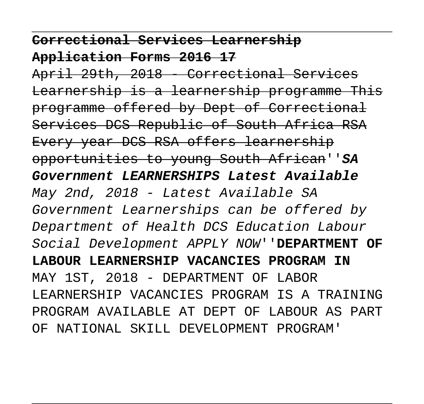## **Correctional Services Learnership Application Forms 2016 17**

April 29th, 2018 - Correctional Services Learnership is a learnership programme This programme offered by Dept of Correctional Services DCS Republic of South Africa RSA Every year DCS RSA offers learnership opportunities to young South African''**SA Government LEARNERSHIPS Latest Available** May 2nd, 2018 - Latest Available SA Government Learnerships can be offered by Department of Health DCS Education Labour Social Development APPLY NOW''**DEPARTMENT OF LABOUR LEARNERSHIP VACANCIES PROGRAM IN** MAY 1ST, 2018 - DEPARTMENT OF LABOR LEARNERSHIP VACANCIES PROGRAM IS A TRAINING PROGRAM AVAILABLE AT DEPT OF LABOUR AS PART OF NATIONAL SKILL DEVELOPMENT PROGRAM'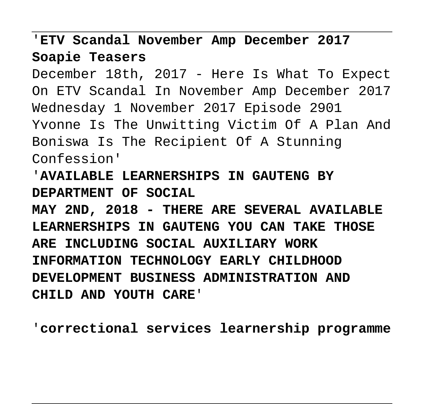'**ETV Scandal November Amp December 2017 Soapie Teasers**

December 18th, 2017 - Here Is What To Expect On ETV Scandal In November Amp December 2017 Wednesday 1 November 2017 Episode 2901 Yvonne Is The Unwitting Victim Of A Plan And Boniswa Is The Recipient Of A Stunning Confession'

'**AVAILABLE LEARNERSHIPS IN GAUTENG BY DEPARTMENT OF SOCIAL MAY 2ND, 2018 - THERE ARE SEVERAL AVAILABLE LEARNERSHIPS IN GAUTENG YOU CAN TAKE THOSE ARE INCLUDING SOCIAL AUXILIARY WORK INFORMATION TECHNOLOGY EARLY CHILDHOOD DEVELOPMENT BUSINESS ADMINISTRATION AND CHILD AND YOUTH CARE**'

'**correctional services learnership programme**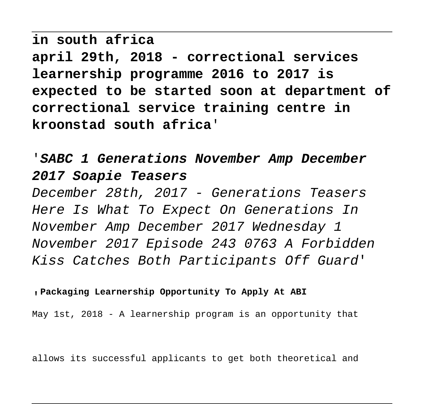**in south africa april 29th, 2018 - correctional services learnership programme 2016 to 2017 is expected to be started soon at department of correctional service training centre in kroonstad south africa**'

'**SABC 1 Generations November Amp December 2017 Soapie Teasers**

December 28th, 2017 - Generations Teasers Here Is What To Expect On Generations In November Amp December 2017 Wednesday 1 November 2017 Episode 243 0763 A Forbidden Kiss Catches Both Participants Off Guard'

## '**Packaging Learnership Opportunity To Apply At ABI**

May 1st, 2018 - A learnership program is an opportunity that

allows its successful applicants to get both theoretical and